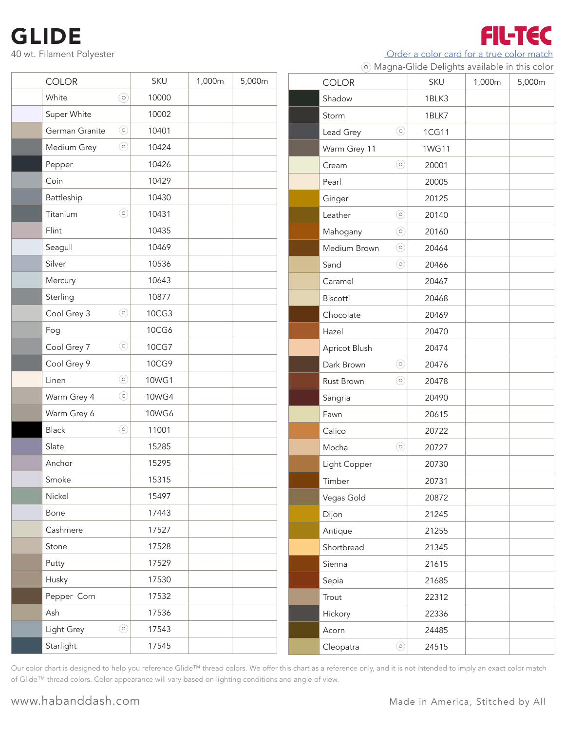## GLIDE

Light Grey

| GLIDE                            |              |        |        |               |         |                                                                                             |        | FILTIEC |
|----------------------------------|--------------|--------|--------|---------------|---------|---------------------------------------------------------------------------------------------|--------|---------|
| 40 wt. Filament Polyester        |              |        |        |               |         | Order a color card for a true color match<br>6 Magna-Glide Delights available in this color |        |         |
| <b>COLOR</b>                     | SKU          | 1,000m | 5,000m | <b>COLOR</b>  |         | SKU                                                                                         | 1,000m | 5,000m  |
| $\odot$<br>White                 | 10000        |        |        | Shadow        |         | 1BLK3                                                                                       |        |         |
| Super White                      | 10002        |        |        | Storm         |         | 1BLK7                                                                                       |        |         |
| $\circledcirc$<br>German Granite | 10401        |        |        | Lead Grey     | $\odot$ | 1CG11                                                                                       |        |         |
| $\odot$<br>Medium Grey           | 10424        |        |        | Warm Grey 11  |         | 1WG11                                                                                       |        |         |
| Pepper                           | 10426        |        |        | Cream         | $\odot$ | 20001                                                                                       |        |         |
| Coin                             | 10429        |        |        | Pearl         |         | 20005                                                                                       |        |         |
| Battleship                       | 10430        |        |        | Ginger        |         | 20125                                                                                       |        |         |
| $\circledcirc$<br>Titanium       | 10431        |        |        | Leather       | $\odot$ | 20140                                                                                       |        |         |
| Flint                            | 10435        |        |        | Mahogany      | $\odot$ | 20160                                                                                       |        |         |
| Seagull                          | 10469        |        |        | Medium Brown  | $\odot$ | 20464                                                                                       |        |         |
| Silver                           | 10536        |        |        | Sand          | $\odot$ | 20466                                                                                       |        |         |
| Mercury                          | 10643        |        |        | Caramel       |         | 20467                                                                                       |        |         |
| Sterling                         | 10877        |        |        | Biscotti      |         | 20468                                                                                       |        |         |
| $\circledcirc$<br>Cool Grey 3    | 10CG3        |        |        | Chocolate     |         | 20469                                                                                       |        |         |
| Fog                              | 10CG6        |        |        | Hazel         |         | 20470                                                                                       |        |         |
| $\circledcirc$<br>Cool Grey 7    | 10CG7        |        |        | Apricot Blush |         | 20474                                                                                       |        |         |
| Cool Grey 9                      | 10CG9        |        |        | Dark Brown    | $\odot$ | 20476                                                                                       |        |         |
| $\odot$<br>Linen                 | 10WG1        |        |        | Rust Brown    | $\odot$ | 20478                                                                                       |        |         |
| $\odot$<br>Warm Grey 4           | <b>10WG4</b> |        |        | Sangria       |         | 20490                                                                                       |        |         |
| Warm Grey 6                      | <b>10WG6</b> |        |        | Fawn          |         | 20615                                                                                       |        |         |
| $\odot$<br><b>Black</b>          | 11001        |        |        | Calico        |         | 20722                                                                                       |        |         |
| Slate                            | 15285        |        |        | Mocha         | $\odot$ | 20727                                                                                       |        |         |
| Anchor                           | 15295        |        |        | Light Copper  |         | 20730                                                                                       |        |         |
| Smoke                            | 15315        |        |        | Timber        |         | 20731                                                                                       |        |         |
| Nickel                           | 15497        |        |        | Vegas Gold    |         | 20872                                                                                       |        |         |
| Bone                             | 17443        |        |        | Dijon         |         | 21245                                                                                       |        |         |
| Cashmere                         | 17527        |        |        | Antique       |         | 21255                                                                                       |        |         |
| Stone                            | 17528        |        |        | Shortbread    |         | 21345                                                                                       |        |         |
| Putty                            | 17529        |        |        | Sienna        |         | 21615                                                                                       |        |         |
| Husky                            | 17530        |        |        | Sepia         |         | 21685                                                                                       |        |         |
| Pepper Corn                      | 17532        |        |        | Trout         |         | 22312                                                                                       |        |         |
| Ash                              | 17536        |        |        | Hickory       |         | 22336                                                                                       |        |         |
| $\odot$<br>Light Grey            | 17543        |        |        | Acorn         |         | 24485                                                                                       |        |         |

Our color chart is designed to help you reference Glide™ thread colors. We offer this chart as a reference only, and it is not intended to imply an exact color match of Glide™ thread colors. Color appearance will vary based on lighting conditions and angle of view.

Starlight 17545

Cleopatra <sup>o</sup> 24515

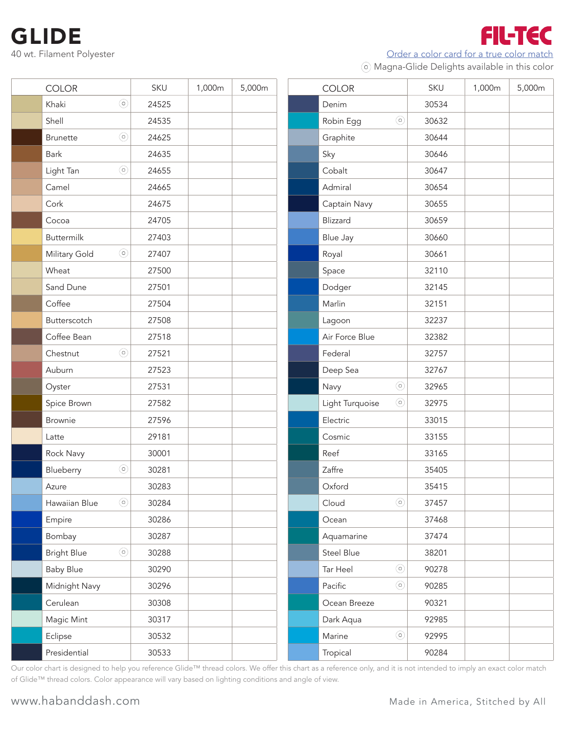Order a color card for a true color match

**FIL-TEC** 

Magna-Glide Delights available in this color

| <b>COLOR</b>                      | SKU   | 1,000m | 5,000m | <b>COLOR</b>    |                | SKU   | 1,000m | 5,000m |
|-----------------------------------|-------|--------|--------|-----------------|----------------|-------|--------|--------|
| $\circledcirc$<br>Khaki           | 24525 |        |        | Denim           |                | 30534 |        |        |
| Shell                             | 24535 |        |        | Robin Egg       | $\odot$        | 30632 |        |        |
| $\circledcirc$<br><b>Brunette</b> | 24625 |        |        | Graphite        |                | 30644 |        |        |
| Bark                              | 24635 |        |        | Sky             |                | 30646 |        |        |
| $\circledcirc$<br>Light Tan       | 24655 |        |        | Cobalt          |                | 30647 |        |        |
| Camel                             | 24665 |        |        | Admiral         |                | 30654 |        |        |
| Cork                              | 24675 |        |        | Captain Navy    |                | 30655 |        |        |
| Cocoa                             | 24705 |        |        | Blizzard        |                | 30659 |        |        |
| <b>Buttermilk</b>                 | 27403 |        |        | Blue Jay        |                | 30660 |        |        |
| $\odot$<br>Military Gold          | 27407 |        |        | Royal           |                | 30661 |        |        |
| Wheat                             | 27500 |        |        | Space           |                | 32110 |        |        |
| Sand Dune                         | 27501 |        |        | Dodger          |                | 32145 |        |        |
| Coffee                            | 27504 |        |        | Marlin          |                | 32151 |        |        |
| Butterscotch                      | 27508 |        |        | Lagoon          |                | 32237 |        |        |
| Coffee Bean                       | 27518 |        |        | Air Force Blue  |                | 32382 |        |        |
| $\circledcirc$<br>Chestnut        | 27521 |        |        | Federal         |                | 32757 |        |        |
| Auburn                            | 27523 |        |        | Deep Sea        |                | 32767 |        |        |
| Oyster                            | 27531 |        |        | Navy            | $\odot$        | 32965 |        |        |
| Spice Brown                       | 27582 |        |        | Light Turquoise | $\odot$        | 32975 |        |        |
| <b>Brownie</b>                    | 27596 |        |        | Electric        |                | 33015 |        |        |
| Latte                             | 29181 |        |        | Cosmic          |                | 33155 |        |        |
| Rock Navy                         | 30001 |        |        | Reef            |                | 33165 |        |        |
| $\circledcirc$<br>Blueberry       | 30281 |        |        | Zaffre          |                | 35405 |        |        |
| Azure                             | 30283 |        |        | Oxford          |                | 35415 |        |        |
| $\odot$<br>Hawaiian Blue          | 30284 |        |        | Cloud           | $_{\odot}$     | 37457 |        |        |
| Empire                            | 30286 |        |        | Ocean           |                | 37468 |        |        |
| Bombay                            | 30287 |        |        | Aquamarine      |                | 37474 |        |        |
| $\odot$<br><b>Bright Blue</b>     | 30288 |        |        | Steel Blue      |                | 38201 |        |        |
| <b>Baby Blue</b>                  | 30290 |        |        | Tar Heel        | $\circledcirc$ | 90278 |        |        |
| Midnight Navy                     | 30296 |        |        | Pacific         | $\circledcirc$ | 90285 |        |        |
| Cerulean                          | 30308 |        |        | Ocean Breeze    |                | 90321 |        |        |
| Magic Mint                        | 30317 |        |        | Dark Aqua       |                | 92985 |        |        |
| Eclipse                           | 30532 |        |        | Marine          | $\circledcirc$ | 92995 |        |        |
| Presidential                      | 30533 |        |        | Tropical        |                | 90284 |        |        |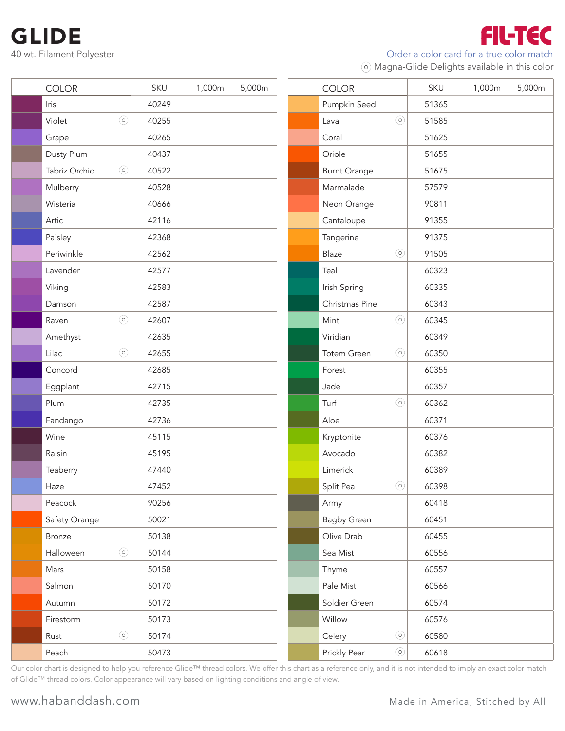Order a color card for a true color match

FIL-TEC

Magna-Glide Delights available in this color

| <b>COLOR</b><br>Iris<br>Violet |         | SKU<br>40249 | 1,000m | 5,000m | <b>COLOR</b>        |         | SKU   | 1,000m | 5,000m |
|--------------------------------|---------|--------------|--------|--------|---------------------|---------|-------|--------|--------|
|                                |         |              |        |        |                     |         |       |        |        |
|                                |         |              |        |        | Pumpkin Seed        |         | 51365 |        |        |
|                                | $\odot$ | 40255        |        |        | Lava                | $\odot$ | 51585 |        |        |
| Grape                          |         | 40265        |        |        | Coral               |         | 51625 |        |        |
| Dusty Plum                     |         | 40437        |        |        | Oriole              |         | 51655 |        |        |
| Tabriz Orchid                  | $\odot$ | 40522        |        |        | <b>Burnt Orange</b> |         | 51675 |        |        |
| Mulberry                       |         | 40528        |        |        | Marmalade           |         | 57579 |        |        |
| Wisteria                       |         | 40666        |        |        | Neon Orange         |         | 90811 |        |        |
| Artic                          |         | 42116        |        |        | Cantaloupe          |         | 91355 |        |        |
| Paisley                        |         | 42368        |        |        | Tangerine           |         | 91375 |        |        |
| Periwinkle                     |         | 42562        |        |        | Blaze               | $\odot$ | 91505 |        |        |
| Lavender                       |         | 42577        |        |        | Teal                |         | 60323 |        |        |
| Viking                         |         | 42583        |        |        | Irish Spring        |         | 60335 |        |        |
| Damson                         |         | 42587        |        |        | Christmas Pine      |         | 60343 |        |        |
| Raven                          | $\odot$ | 42607        |        |        | Mint                | $\odot$ | 60345 |        |        |
| Amethyst                       |         | 42635        |        |        | Viridian            |         | 60349 |        |        |
| Lilac                          | $\odot$ | 42655        |        |        | Totem Green         | $\odot$ | 60350 |        |        |
| Concord                        |         | 42685        |        |        | Forest              |         | 60355 |        |        |
| Eggplant                       |         | 42715        |        |        | Jade                |         | 60357 |        |        |
| Plum                           |         | 42735        |        |        | Turf                | $\odot$ | 60362 |        |        |
| Fandango                       |         | 42736        |        |        | Aloe                |         | 60371 |        |        |
| Wine                           |         | 45115        |        |        | Kryptonite          |         | 60376 |        |        |
| Raisin                         |         | 45195        |        |        | Avocado             |         | 60382 |        |        |
| Teaberry                       |         | 47440        |        |        | Limerick            |         | 60389 |        |        |
| Haze                           |         | 47452        |        |        | Split Pea           | $\odot$ | 60398 |        |        |
| Peacock                        |         | 90256        |        |        | Army                |         | 60418 |        |        |
| Safety Orange                  |         | 50021        |        |        | <b>Bagby Green</b>  |         | 60451 |        |        |
| Bronze                         |         | 50138        |        |        | Olive Drab          |         | 60455 |        |        |
| Halloween                      | $\odot$ | 50144        |        |        | Sea Mist            |         | 60556 |        |        |
| Mars                           |         | 50158        |        |        | Thyme               |         | 60557 |        |        |
| Salmon                         |         | 50170        |        |        | Pale Mist           |         | 60566 |        |        |
| Autumn                         |         | 50172        |        |        | Soldier Green       |         | 60574 |        |        |
| Firestorm                      |         | 50173        |        |        | Willow              |         | 60576 |        |        |
| Rust                           | $\odot$ | 50174        |        |        | Celery              | $\odot$ | 60580 |        |        |
| Peach                          |         | 50473        |        |        | Prickly Pear        | $\odot$ | 60618 |        |        |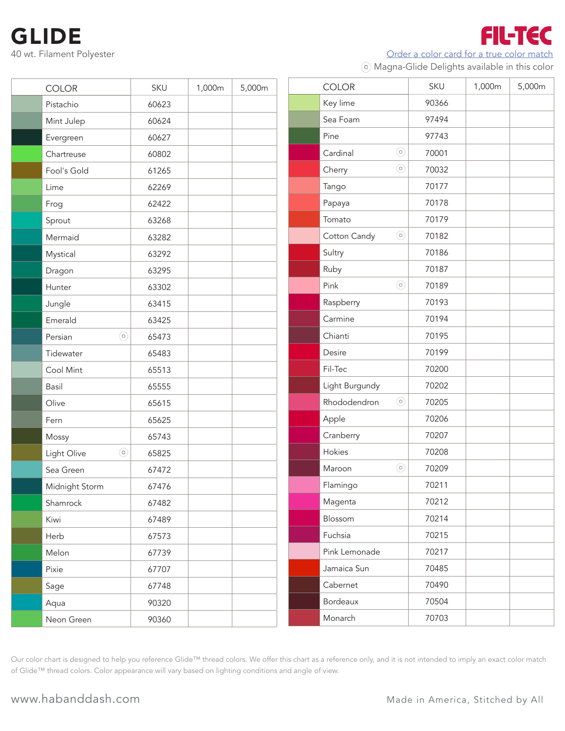Order a color card for a true color match

**FIL-TEC** 

Magna-Glide Delights available in this color

| <b>COLOR</b>              | SKU   | 1,000m | 5,000m | <b>COLOR</b>            | SKU   | 1,000m | 5,000m |
|---------------------------|-------|--------|--------|-------------------------|-------|--------|--------|
| Pistachio                 | 60623 |        |        | Key lime                | 90366 |        |        |
| Mint Julep                | 60624 |        |        | Sea Foam                | 97494 |        |        |
| Evergreen                 | 60627 |        |        | Pine                    | 97743 |        |        |
| Chartreuse                | 60802 |        |        | $\odot$<br>Cardinal     | 70001 |        |        |
| Fool's Gold               | 61265 |        |        | $\odot$<br>Cherry       | 70032 |        |        |
| Lime                      | 62269 |        |        | Tango                   | 70177 |        |        |
| Frog                      | 62422 |        |        | Papaya                  | 70178 |        |        |
| Sprout                    | 63268 |        |        | Tomato                  | 70179 |        |        |
| Mermaid                   | 63282 |        |        | $\odot$<br>Cotton Candy | 70182 |        |        |
| Mystical                  | 63292 |        |        | Sultry                  | 70186 |        |        |
| Dragon                    | 63295 |        |        | Ruby                    | 70187 |        |        |
| Hunter                    | 63302 |        |        | $\odot$<br>Pink         | 70189 |        |        |
| Jungle                    | 63415 |        |        | Raspberry               | 70193 |        |        |
| Emerald                   | 63425 |        |        | Carmine                 | 70194 |        |        |
| $\circledcirc$<br>Persian | 65473 |        |        | Chianti                 | 70195 |        |        |
| Tidewater                 | 65483 |        |        | Desire                  | 70199 |        |        |
| Cool Mint                 | 65513 |        |        | Fil-Tec                 | 70200 |        |        |
| Basil                     | 65555 |        |        | Light Burgundy          | 70202 |        |        |
| Olive                     | 65615 |        |        | $\odot$<br>Rhododendron | 70205 |        |        |
| Fern                      | 65625 |        |        | Apple                   | 70206 |        |        |
| Mossy                     | 65743 |        |        | Cranberry               | 70207 |        |        |
| $\odot$<br>Light Olive    | 65825 |        |        | Hokies                  | 70208 |        |        |
| Sea Green                 | 67472 |        |        | $\odot$<br>Maroon       | 70209 |        |        |
| Midnight Storm            | 67476 |        |        | Flamingo                | 70211 |        |        |
| Shamrock                  | 67482 |        |        | Magenta                 | 70212 |        |        |
| Kiwi                      | 67489 |        |        | Blossom                 | 70214 |        |        |
| Herb                      | 67573 |        |        | Fuchsia                 | 70215 |        |        |
| Melon                     | 67739 |        |        | Pink Lemonade           | 70217 |        |        |
| Pixie                     | 67707 |        |        | Jamaica Sun             | 70485 |        |        |
| Sage                      | 67748 |        |        | Cabernet                | 70490 |        |        |
| Aqua                      | 90320 |        |        | Bordeaux                | 70504 |        |        |
| Neon Green                | 90360 |        |        | Monarch                 | 70703 |        |        |